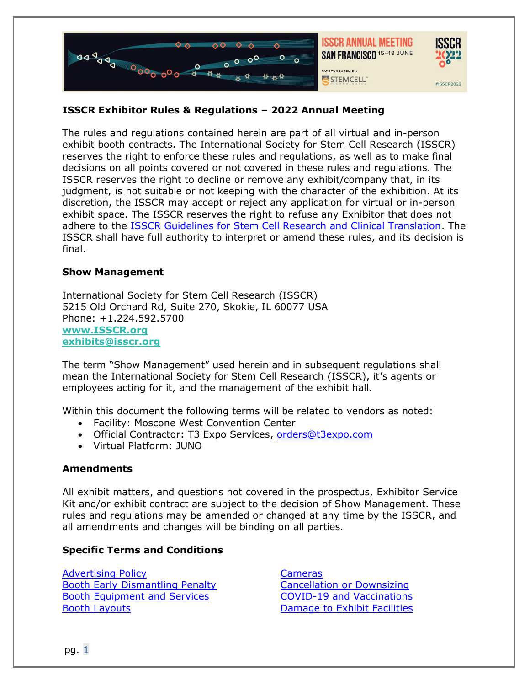

# **ISSCR Exhibitor Rules & Regulations – 2022 Annual Meeting**

The rules and regulations contained herein are part of all virtual and in-person exhibit booth contracts. The International Society for Stem Cell Research (ISSCR) reserves the right to enforce these rules and regulations, as well as to make final decisions on all points covered or not covered in these rules and regulations. The ISSCR reserves the right to decline or remove any exhibit/company that, in its judgment, is not suitable or not keeping with the character of the exhibition. At its discretion, the ISSCR may accept or reject any application for virtual or in-person exhibit space. The ISSCR reserves the right to refuse any Exhibitor that does not adhere to the [ISSCR Guidelines for Stem Cell Research and Clinical Translation.](https://www.isscr.org/policy/guidelines-for-stem-cell-research-and-clinical-translation) The ISSCR shall have full authority to interpret or amend these rules, and its decision is final.

#### **Show Management**

International Society for Stem Cell Research (ISSCR) 5215 Old Orchard Rd, Suite 270, Skokie, IL 60077 USA Phone: +1.224.592.5700 **[www.ISSCR.org](http://www.isscr.org/) exhibits@isscr.org**

The term "Show Management" used herein and in subsequent regulations shall mean the International Society for Stem Cell Research (ISSCR), it's agents or employees acting for it, and the management of the exhibit hall.

Within this document the following terms will be related to vendors as noted:

- Facility: Moscone West Convention Center
- Official Contractor: T3 Expo Services, [orders@t3expo.com](mailto:orders@t3expo.com)
- Virtual Platform: JUNO

## **Amendments**

All exhibit matters, and questions not covered in the prospectus, Exhibitor Service Kit and/or exhibit contract are subject to the decision of Show Management. These rules and regulations may be amended or changed at any time by the ISSCR, and all amendments and changes will be binding on all parties.

## **Specific Terms and Conditions**

[Advertising Policy](#page-1-0) [Booth Early Dismantling Penalty](#page-1-1) [Booth Equipment and Services](#page-1-2) [Booth Layouts](#page-1-3)

[Cameras](#page-2-0) [Cancellation or Downsizing](#page-2-1)  [COVID-19 and Vaccinations](#page-2-2) [Damage to Exhibit Facilities](#page-3-0)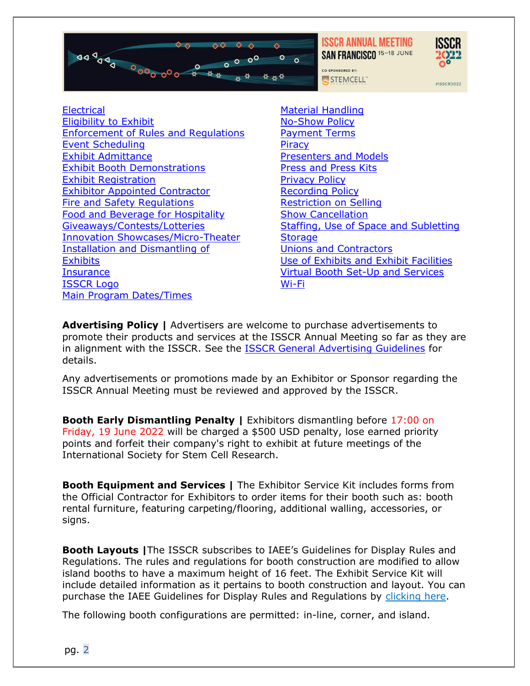

**ISSCR ANNUAL MEETING** SAN FRANCISCO 15-18 JUNE



#ISSCR2022

CO-SPONSORED BY: STEMCELL"

[Electrical](#page-3-1)

Eligibility to Exhibit [Enforcement of Rules and Regulations](#page-3-2) [Event Scheduling](#page-4-0) [Exhibit Admittance](#page-4-1) [Exhibit Booth Demonstrations](#page-4-2) [Exhibit Registration](#page-4-3) [Exhibitor Appointed Contractor](#page-4-4) [Fire and Safety Regulations](#page-5-0) [Food and Beverage for Hospitality](#page-5-1) [Giveaways/Contests/Lotteries](#page-5-2) [Innovation Showcases/Micro-Theater](#page-5-3) [Installation and Dismantling](#page-6-0) of **[Exhibits](#page-6-0) [Insurance](#page-6-1)** [ISSCR Logo](#page-7-0) [Main Program Dates/Times](#page-7-1)

[Material Handling](#page-7-2) [No-Show Policy](#page-7-3) [Payment Terms](#page-8-0) **[Piracy](#page-8-1)** [Presenters and Models](#page-8-2) [Press and Press Kits](#page-8-3) [Privacy Policy](#page-8-4) [Recording Policy](#page-8-5) [Restriction on Selling](#page-8-6) [Show Cancellation](#page-9-0) [Staffing, Use of Space and Subletting](#page-9-1) **[Storage](#page-9-2)** [Unions and Contractors](#page-9-3) [Use of Exhibits and Exhibit Facilities](#page-9-4) [Virtual Booth Set-Up and Services](#page-9-4) [Wi-Fi](#page-10-0)

<span id="page-1-0"></span>**Advertising Policy |** Advertisers are welcome to purchase advertisements to promote their products and services at the ISSCR Annual Meeting so far as they are in alignment with the ISSCR. See the [ISSCR General Advertising Guidelines](https://www.isscr.org/news-publicationsss/advertise-with-isscr) for details.

Any advertisements or promotions made by an Exhibitor or Sponsor regarding the ISSCR Annual Meeting must be reviewed and approved by the ISSCR.

<span id="page-1-1"></span>**Booth Early Dismantling Penalty |** Exhibitors dismantling before 17:00 on Friday, 19 June 2022 will be charged a \$500 USD penalty, lose earned priority points and forfeit their company's right to exhibit at future meetings of the International Society for Stem Cell Research.

<span id="page-1-2"></span>**Booth Equipment and Services |** The Exhibitor Service Kit includes forms from the Official Contractor for Exhibitors to order items for their booth such as: booth rental furniture, featuring carpeting/flooring, additional walling, accessories, or signs.

<span id="page-1-3"></span>**Booth Layouts |**The ISSCR subscribes to IAEE's Guidelines for Display Rules and Regulations. The rules and regulations for booth construction are modified to allow island booths to have a maximum height of 16 feet. The Exhibit Service Kit will include detailed information as it pertains to booth construction and layout. You can purchase the IAEE Guidelines for Display Rules and Regulations by [clicking here.](https://www.iaee.com/publications/)

The following booth configurations are permitted: in-line, corner, and island.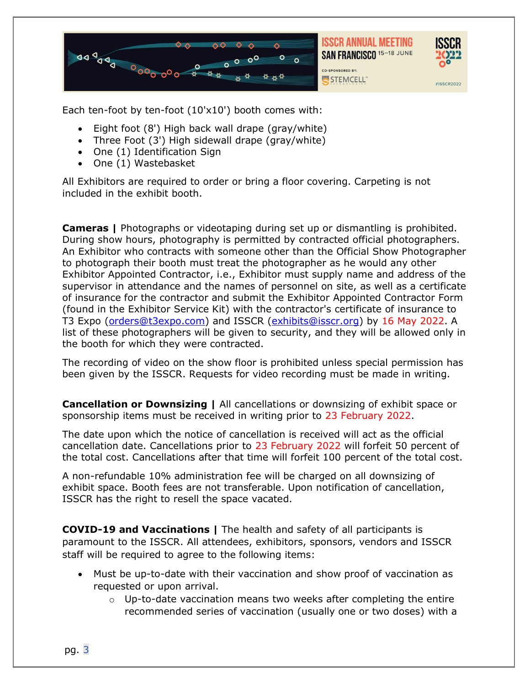



#ISSCR2022

Each ten-foot by ten-foot  $(10'x10')$  booth comes with:

- Eight foot (8') High back wall drape (gray/white)
- Three Foot (3') High sidewall drape (gray/white)
- One (1) Identification Sign
- One (1) Wastebasket

All Exhibitors are required to order or bring a floor covering. Carpeting is not included in the exhibit booth.

<span id="page-2-0"></span>**Cameras |** Photographs or videotaping during set up or dismantling is prohibited. During show hours, photography is permitted by contracted official photographers. An Exhibitor who contracts with someone other than the Official Show Photographer to photograph their booth must treat the photographer as he would any other Exhibitor Appointed Contractor, i.e., Exhibitor must supply name and address of the supervisor in attendance and the names of personnel on site, as well as a certificate of insurance for the contractor and submit the Exhibitor Appointed Contractor Form (found in the Exhibitor Service Kit) with the contractor's certificate of insurance to T3 Expo [\(orders@t3expo.com\)](mailto:orders@t3expo.com) and ISSCR [\(exhibits@isscr.org\)](mailto:exhibits@isscr.org) by 16 May 2022. A list of these photographers will be given to security, and they will be allowed only in the booth for which they were contracted.

The recording of video on the show floor is prohibited unless special permission has been given by the ISSCR. Requests for video recording must be made in writing.

<span id="page-2-1"></span>**Cancellation or Downsizing |** All cancellations or downsizing of exhibit space or sponsorship items must be received in writing prior to 23 February 2022.

The date upon which the notice of cancellation is received will act as the official cancellation date. Cancellations prior to 23 February 2022 will forfeit 50 percent of the total cost. Cancellations after that time will forfeit 100 percent of the total cost.

A non-refundable 10% administration fee will be charged on all downsizing of exhibit space. Booth fees are not transferable. Upon notification of cancellation, ISSCR has the right to resell the space vacated.

<span id="page-2-2"></span>**COVID-19 and Vaccinations |** The health and safety of all participants is paramount to the ISSCR. All attendees, exhibitors, sponsors, vendors and ISSCR staff will be required to agree to the following items:

- Must be up-to-date with their vaccination and show proof of vaccination as requested or upon arrival.
	- $\circ$  Up-to-date vaccination means two weeks after completing the entire recommended series of vaccination (usually one or two doses) with a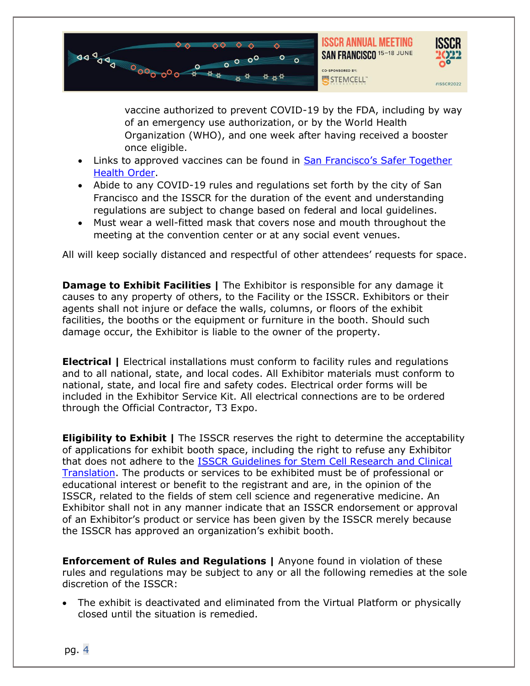



vaccine authorized to prevent COVID-19 by the FDA, including by way of an emergency use authorization, or by the World Health Organization (WHO), and one week after having received a booster once eligible.

- Links to approved vaccines can be found in San Francisco's Safer Together [Health Order.](https://sfdph.org/dph/alerts/files/vaccine-verification-sites.asp)
- Abide to any COVID-19 rules and regulations set forth by the city of San Francisco and the ISSCR for the duration of the event and understanding regulations are subject to change based on federal and local guidelines.
- Must wear a well-fitted mask that covers nose and mouth throughout the meeting at the convention center or at any social event venues.

All will keep socially distanced and respectful of other attendees' requests for space.

<span id="page-3-0"></span>**Damage to Exhibit Facilities | The Exhibitor is responsible for any damage it** causes to any property of others, to the Facility or the ISSCR. Exhibitors or their agents shall not injure or deface the walls, columns, or floors of the exhibit facilities, the booths or the equipment or furniture in the booth. Should such damage occur, the Exhibitor is liable to the owner of the property.

<span id="page-3-1"></span>**Electrical |** Electrical installations must conform to facility rules and regulations and to all national, state, and local codes. All Exhibitor materials must conform to national, state, and local fire and safety codes. Electrical order forms will be included in the Exhibitor Service Kit. All electrical connections are to be ordered through the Official Contractor, T3 Expo.

**Eligibility to Exhibit |** The ISSCR reserves the right to determine the acceptability of applications for exhibit booth space, including the right to refuse any Exhibitor that does not adhere to the [ISSCR Guidelines for Stem Cell Research and Clinical](https://www.isscr.org/policy/guidelines-for-stem-cell-research-and-clinical-translation)  [Translation.](https://www.isscr.org/policy/guidelines-for-stem-cell-research-and-clinical-translation) The products or services to be exhibited must be of professional or educational interest or benefit to the registrant and are, in the opinion of the ISSCR, related to the fields of stem cell science and regenerative medicine. An Exhibitor shall not in any manner indicate that an ISSCR endorsement or approval of an Exhibitor's product or service has been given by the ISSCR merely because the ISSCR has approved an organization's exhibit booth.

<span id="page-3-2"></span>**Enforcement of Rules and Regulations |** Anyone found in violation of these rules and regulations may be subject to any or all the following remedies at the sole discretion of the ISSCR:

• The exhibit is deactivated and eliminated from the Virtual Platform or physically closed until the situation is remedied.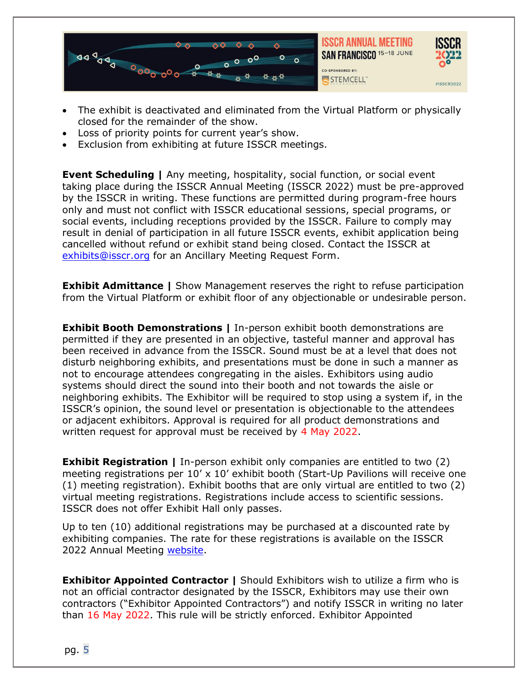

- The exhibit is deactivated and eliminated from the Virtual Platform or physically closed for the remainder of the show.
- Loss of priority points for current year's show.
- Exclusion from exhibiting at future ISSCR meetings.

<span id="page-4-0"></span>**Event Scheduling | Any meeting, hospitality, social function, or social event** taking place during the ISSCR Annual Meeting (ISSCR 2022) must be pre-approved by the ISSCR in writing. These functions are permitted during program-free hours only and must not conflict with ISSCR educational sessions, special programs, or social events, including receptions provided by the ISSCR. Failure to comply may result in denial of participation in all future ISSCR events, exhibit application being cancelled without refund or exhibit stand being closed. Contact the ISSCR at [exhibits@isscr.org](mailto:exhibits@isscr.org) for an Ancillary Meeting Request Form.

<span id="page-4-1"></span>**Exhibit Admittance** | Show Management reserves the right to refuse participation from the Virtual Platform or exhibit floor of any objectionable or undesirable person.

<span id="page-4-2"></span>**Exhibit Booth Demonstrations | In-person exhibit booth demonstrations are** permitted if they are presented in an objective, tasteful manner and approval has been received in advance from the ISSCR. Sound must be at a level that does not disturb neighboring exhibits, and presentations must be done in such a manner as not to encourage attendees congregating in the aisles. Exhibitors using audio systems should direct the sound into their booth and not towards the aisle or neighboring exhibits. The Exhibitor will be required to stop using a system if, in the ISSCR's opinion, the sound level or presentation is objectionable to the attendees or adjacent exhibitors. Approval is required for all product demonstrations and written request for approval must be received by 4 May 2022.

<span id="page-4-3"></span>**Exhibit Registration** | In-person exhibit only companies are entitled to two (2) meeting registrations per  $10' \times 10'$  exhibit booth (Start-Up Pavilions will receive one (1) meeting registration). Exhibit booths that are only virtual are entitled to two (2) virtual meeting registrations. Registrations include access to scientific sessions. ISSCR does not offer Exhibit Hall only passes.

Up to ten (10) additional registrations may be purchased at a discounted rate by exhibiting companies. The rate for these registrations is available on the ISSCR 2022 Annual Meeting [website.](https://www.isscr.org/meetings-events/annual-meetings/isscr-annual-meeting-2022/abstracts/call-for-abstracts)

<span id="page-4-4"></span>**Exhibitor Appointed Contractor | Should Exhibitors wish to utilize a firm who is** not an official contractor designated by the ISSCR, Exhibitors may use their own contractors ("Exhibitor Appointed Contractors") and notify ISSCR in writing no later than 16 May 2022. This rule will be strictly enforced. Exhibitor Appointed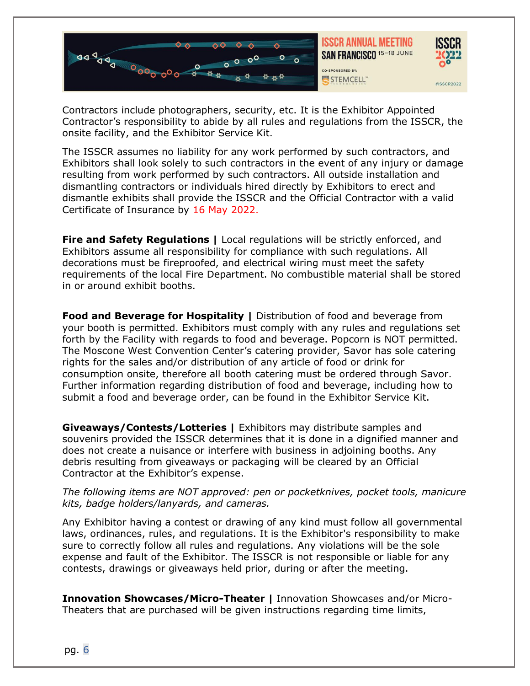



Contractors include photographers, security, etc. It is the Exhibitor Appointed Contractor's responsibility to abide by all rules and regulations from the ISSCR, the onsite facility, and the Exhibitor Service Kit.

The ISSCR assumes no liability for any work performed by such contractors, and Exhibitors shall look solely to such contractors in the event of any injury or damage resulting from work performed by such contractors. All outside installation and dismantling contractors or individuals hired directly by Exhibitors to erect and dismantle exhibits shall provide the ISSCR and the Official Contractor with a valid Certificate of Insurance by 16 May 2022.

<span id="page-5-0"></span>**Fire and Safety Regulations |** Local regulations will be strictly enforced, and Exhibitors assume all responsibility for compliance with such regulations. All decorations must be fireproofed, and electrical wiring must meet the safety requirements of the local Fire Department. No combustible material shall be stored in or around exhibit booths.

<span id="page-5-1"></span>**Food and Beverage for Hospitality |** Distribution of food and beverage from your booth is permitted. Exhibitors must comply with any rules and regulations set forth by the Facility with regards to food and beverage. Popcorn is NOT permitted. The Moscone West Convention Center's catering provider, Savor has sole catering rights for the sales and/or distribution of any article of food or drink for consumption onsite, therefore all booth catering must be ordered through Savor. Further information regarding distribution of food and beverage, including how to submit a food and beverage order, can be found in the Exhibitor Service Kit.

<span id="page-5-2"></span>**Giveaways/Contests/Lotteries |** Exhibitors may distribute samples and souvenirs provided the ISSCR determines that it is done in a dignified manner and does not create a nuisance or interfere with business in adjoining booths. Any debris resulting from giveaways or packaging will be cleared by an Official Contractor at the Exhibitor's expense.

#### *The following items are NOT approved: pen or pocketknives, pocket tools, manicure kits, badge holders/lanyards, and cameras.*

Any Exhibitor having a contest or drawing of any kind must follow all governmental laws, ordinances, rules, and regulations. It is the Exhibitor's responsibility to make sure to correctly follow all rules and regulations. Any violations will be the sole expense and fault of the Exhibitor. The ISSCR is not responsible or liable for any contests, drawings or giveaways held prior, during or after the meeting.

<span id="page-5-3"></span>**Innovation Showcases/Micro-Theater |** Innovation Showcases and/or Micro-Theaters that are purchased will be given instructions regarding time limits,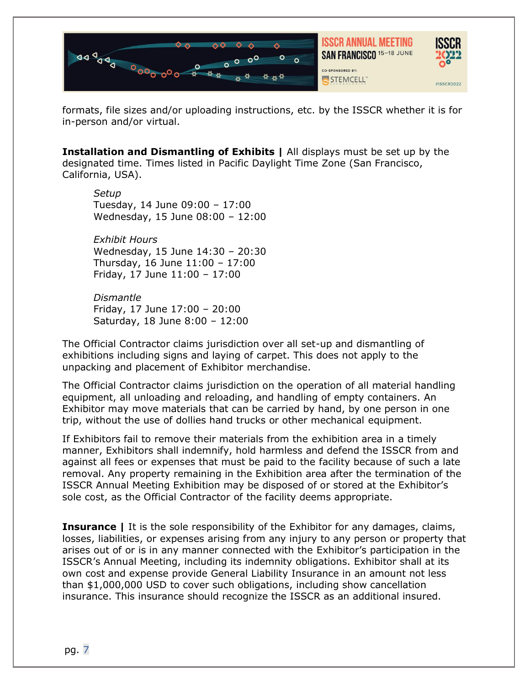

formats, file sizes and/or uploading instructions, etc. by the ISSCR whether it is for in-person and/or virtual.

<span id="page-6-0"></span>**Installation and Dismantling of Exhibits |** All displays must be set up by the designated time. Times listed in Pacific Daylight Time Zone (San Francisco, California, USA).

*Setup* Tuesday, 14 June 09:00 – 17:00 Wednesday, 15 June 08:00 – 12:00

*Exhibit Hours* Wednesday, 15 June 14:30 – 20:30 Thursday, 16 June 11:00 – 17:00 Friday, 17 June 11:00 – 17:00

*Dismantle* Friday, 17 June 17:00 – 20:00 Saturday, 18 June 8:00 – 12:00

The Official Contractor claims jurisdiction over all set-up and dismantling of exhibitions including signs and laying of carpet. This does not apply to the unpacking and placement of Exhibitor merchandise.

The Official Contractor claims jurisdiction on the operation of all material handling equipment, all unloading and reloading, and handling of empty containers. An Exhibitor may move materials that can be carried by hand, by one person in one trip, without the use of dollies hand trucks or other mechanical equipment.

If Exhibitors fail to remove their materials from the exhibition area in a timely manner, Exhibitors shall indemnify, hold harmless and defend the ISSCR from and against all fees or expenses that must be paid to the facility because of such a late removal. Any property remaining in the Exhibition area after the termination of the ISSCR Annual Meeting Exhibition may be disposed of or stored at the Exhibitor's sole cost, as the Official Contractor of the facility deems appropriate.

<span id="page-6-1"></span>**Insurance** | It is the sole responsibility of the Exhibitor for any damages, claims, losses, liabilities, or expenses arising from any injury to any person or property that arises out of or is in any manner connected with the Exhibitor's participation in the ISSCR's Annual Meeting, including its indemnity obligations. Exhibitor shall at its own cost and expense provide General Liability Insurance in an amount not less than \$1,000,000 USD to cover such obligations, including show cancellation insurance. This insurance should recognize the ISSCR as an additional insured.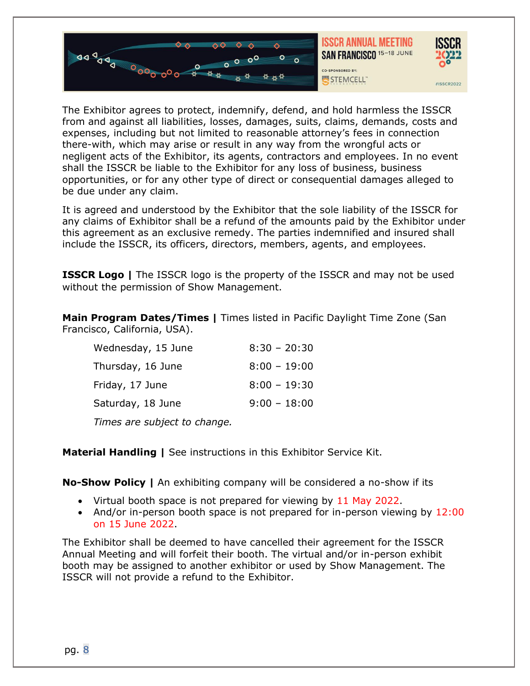



The Exhibitor agrees to protect, indemnify, defend, and hold harmless the ISSCR from and against all liabilities, losses, damages, suits, claims, demands, costs and expenses, including but not limited to reasonable attorney's fees in connection there-with, which may arise or result in any way from the wrongful acts or negligent acts of the Exhibitor, its agents, contractors and employees. In no event shall the ISSCR be liable to the Exhibitor for any loss of business, business opportunities, or for any other type of direct or consequential damages alleged to be due under any claim.

It is agreed and understood by the Exhibitor that the sole liability of the ISSCR for any claims of Exhibitor shall be a refund of the amounts paid by the Exhibitor under this agreement as an exclusive remedy. The parties indemnified and insured shall include the ISSCR, its officers, directors, members, agents, and employees.

<span id="page-7-0"></span>**ISSCR Logo** | The ISSCR logo is the property of the ISSCR and may not be used without the permission of Show Management.

<span id="page-7-1"></span>**Main Program Dates/Times |** Times listed in Pacific Daylight Time Zone (San Francisco, California, USA).

| Wednesday, 15 June                                                                                                                                                                                                                   | $8:30 - 20:30$ |
|--------------------------------------------------------------------------------------------------------------------------------------------------------------------------------------------------------------------------------------|----------------|
| Thursday, 16 June                                                                                                                                                                                                                    | $8:00 - 19:00$ |
| Friday, 17 June                                                                                                                                                                                                                      | $8:00 - 19:30$ |
| Saturday, 18 June                                                                                                                                                                                                                    | $9:00 - 18:00$ |
| $\overline{ }$ , and the set of the set of the set of the set of the set of the set of the set of the set of the set of the set of the set of the set of the set of the set of the set of the set of the set of the set of the set o |                |

*Times are subject to change.*

<span id="page-7-2"></span>**Material Handling |** See instructions in this Exhibitor Service Kit.

<span id="page-7-3"></span>**No-Show Policy |** An exhibiting company will be considered a no-show if its

- Virtual booth space is not prepared for viewing by 11 May 2022.
- And/or in-person booth space is not prepared for in-person viewing by 12:00 on 15 June 2022.

The Exhibitor shall be deemed to have cancelled their agreement for the ISSCR Annual Meeting and will forfeit their booth. The virtual and/or in-person exhibit booth may be assigned to another exhibitor or used by Show Management. The ISSCR will not provide a refund to the Exhibitor.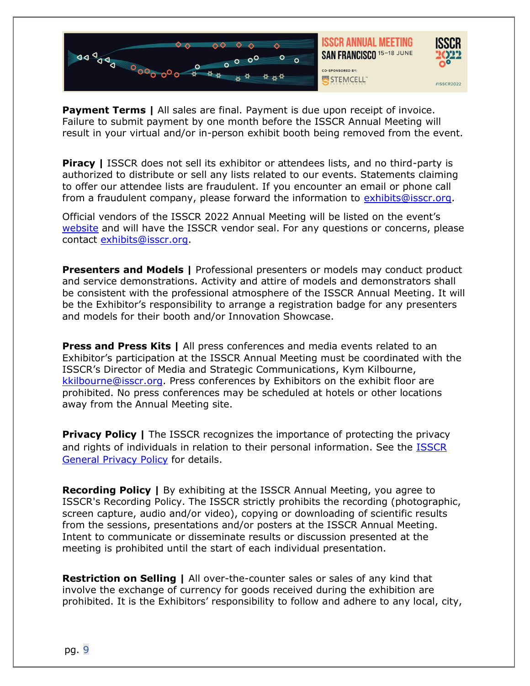

<span id="page-8-0"></span>**Payment Terms | All sales are final. Payment is due upon receipt of invoice.** Failure to submit payment by one month before the ISSCR Annual Meeting will result in your virtual and/or in-person exhibit booth being removed from the event.

<span id="page-8-1"></span>**Piracy | ISSCR** does not sell its exhibitor or attendees lists, and no third-party is authorized to distribute or sell any lists related to our events. Statements claiming to offer our attendee lists are fraudulent. If you encounter an email or phone call from a fraudulent company, please forward the information to [exhibits@isscr.org.](mailto:exhibits@isscr.org)

Official vendors of the ISSCR 2022 Annual Meeting will be listed on the event's [website](https://www.isscr.org/meetings-events/annual-meetings/isscr-annual-meeting-2022) and will have the ISSCR vendor seal. For any questions or concerns, please contact [exhibits@isscr.org.](mailto:exhibits@isscr.org)

<span id="page-8-2"></span>**Presenters and Models |** Professional presenters or models may conduct product and service demonstrations. Activity and attire of models and demonstrators shall be consistent with the professional atmosphere of the ISSCR Annual Meeting. It will be the Exhibitor's responsibility to arrange a registration badge for any presenters and models for their booth and/or Innovation Showcase.

<span id="page-8-3"></span>**Press and Press Kits |** All press conferences and media events related to an Exhibitor's participation at the ISSCR Annual Meeting must be coordinated with the ISSCR's Director of Media and Strategic Communications, Kym Kilbourne, [kkilbourne@isscr.org.](mailto:kkilbourne@isscr.org) Press conferences by Exhibitors on the exhibit floor are prohibited. No press conferences may be scheduled at hotels or other locations away from the Annual Meeting site.

<span id="page-8-4"></span>**Privacy Policy** | The ISSCR recognizes the importance of protecting the privacy and rights of individuals in relation to their personal information. See the [ISSCR](https://www.isscr.org/privacy-policy)  [General Privacy Policy](https://www.isscr.org/privacy-policy) for details.

<span id="page-8-5"></span>**Recording Policy |** By exhibiting at the ISSCR Annual Meeting, you agree to ISSCR's Recording Policy. The ISSCR strictly prohibits the recording (photographic, screen capture, audio and/or video), copying or downloading of scientific results from the sessions, presentations and/or posters at the ISSCR Annual Meeting. Intent to communicate or disseminate results or discussion presented at the meeting is prohibited until the start of each individual presentation.

<span id="page-8-6"></span>**Restriction on Selling |** All over-the-counter sales or sales of any kind that involve the exchange of currency for goods received during the exhibition are prohibited. It is the Exhibitors' responsibility to follow and adhere to any local, city,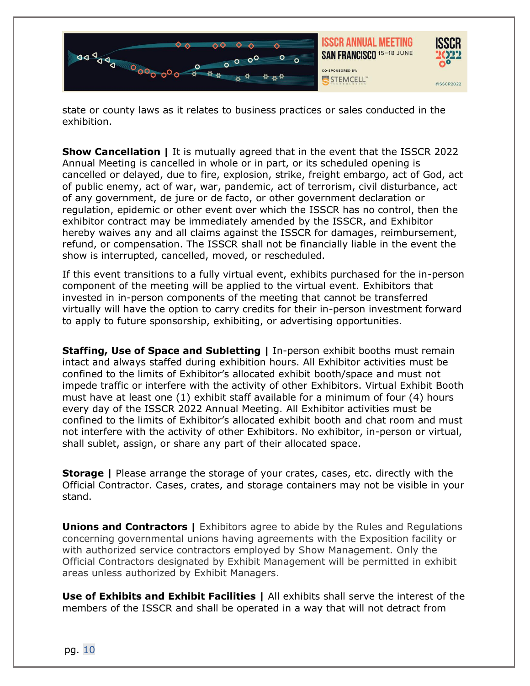

state or county laws as it relates to business practices or sales conducted in the exhibition.

<span id="page-9-0"></span>**Show Cancellation |** It is mutually agreed that in the event that the ISSCR 2022 Annual Meeting is cancelled in whole or in part, or its scheduled opening is cancelled or delayed, due to fire, explosion, strike, freight embargo, act of God, act of public enemy, act of war, war, pandemic, act of terrorism, civil disturbance, act of any government, de jure or de facto, or other government declaration or regulation, epidemic or other event over which the ISSCR has no control, then the exhibitor contract may be immediately amended by the ISSCR, and Exhibitor hereby waives any and all claims against the ISSCR for damages, reimbursement, refund, or compensation. The ISSCR shall not be financially liable in the event the show is interrupted, cancelled, moved, or rescheduled.

If this event transitions to a fully virtual event, exhibits purchased for the in-person component of the meeting will be applied to the virtual event. Exhibitors that invested in in-person components of the meeting that cannot be transferred virtually will have the option to carry credits for their in-person investment forward to apply to future sponsorship, exhibiting, or advertising opportunities.

<span id="page-9-1"></span>**Staffing, Use of Space and Subletting | In-person exhibit booths must remain** intact and always staffed during exhibition hours. All Exhibitor activities must be confined to the limits of Exhibitor's allocated exhibit booth/space and must not impede traffic or interfere with the activity of other Exhibitors. Virtual Exhibit Booth must have at least one (1) exhibit staff available for a minimum of four (4) hours every day of the ISSCR 2022 Annual Meeting. All Exhibitor activities must be confined to the limits of Exhibitor's allocated exhibit booth and chat room and must not interfere with the activity of other Exhibitors. No exhibitor, in-person or virtual, shall sublet, assign, or share any part of their allocated space.

<span id="page-9-2"></span>**Storage |** Please arrange the storage of your crates, cases, etc. directly with the Official Contractor. Cases, crates, and storage containers may not be visible in your stand.

<span id="page-9-3"></span>**Unions and Contractors | Exhibitors agree to abide by the Rules and Regulations** concerning governmental unions having agreements with the Exposition facility or with authorized service contractors employed by Show Management. Only the Official Contractors designated by Exhibit Management will be permitted in exhibit areas unless authorized by Exhibit Managers.

<span id="page-9-4"></span>**Use of Exhibits and Exhibit Facilities |** All exhibits shall serve the interest of the members of the ISSCR and shall be operated in a way that will not detract from